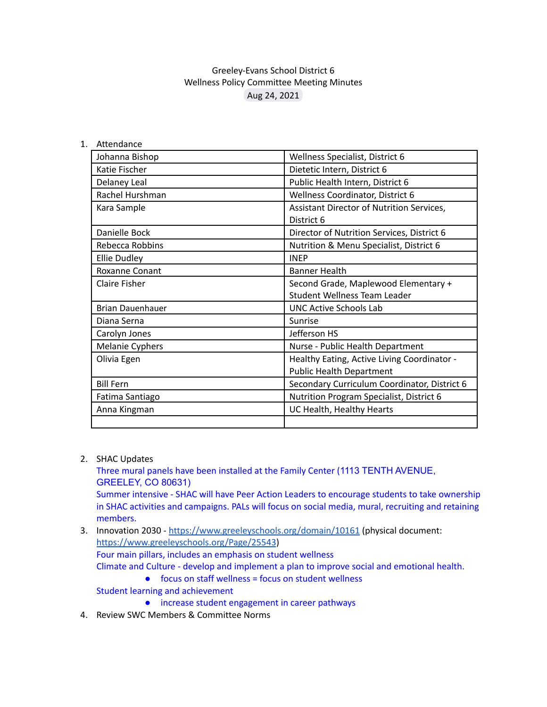## Greeley-Evans School District 6 Wellness Policy Committee Meeting Minutes Aug 24, 2021

1. Attendance

| Johanna Bishop          | Wellness Specialist, District 6              |
|-------------------------|----------------------------------------------|
| Katie Fischer           | Dietetic Intern, District 6                  |
| Delaney Leal            | Public Health Intern, District 6             |
| Rachel Hurshman         | Wellness Coordinator, District 6             |
| Kara Sample             | Assistant Director of Nutrition Services,    |
|                         | District 6                                   |
| Danielle Bock           | Director of Nutrition Services, District 6   |
| Rebecca Robbins         | Nutrition & Menu Specialist, District 6      |
| <b>Ellie Dudley</b>     | <b>INEP</b>                                  |
| <b>Roxanne Conant</b>   | <b>Banner Health</b>                         |
| Claire Fisher           | Second Grade, Maplewood Elementary +         |
|                         | <b>Student Wellness Team Leader</b>          |
| <b>Brian Dauenhauer</b> | <b>UNC Active Schools Lab</b>                |
| Diana Serna             | Sunrise                                      |
| Carolyn Jones           | Jefferson HS                                 |
| <b>Melanie Cyphers</b>  | Nurse - Public Health Department             |
| Olivia Egen             | Healthy Eating, Active Living Coordinator -  |
|                         | <b>Public Health Department</b>              |
| <b>Bill Fern</b>        | Secondary Curriculum Coordinator, District 6 |
| Fatima Santiago         | Nutrition Program Specialist, District 6     |
| Anna Kingman            | UC Health, Healthy Hearts                    |
|                         |                                              |

2. SHAC Updates

Three mural panels have been installed at the Family Center (1113 TENTH AVENUE, GREELEY, CO 80631) Summer intensive - SHAC will have Peer Action Leaders to encourage students to take ownership in SHAC activities and campaigns. PALs will focus on social media, mural, recruiting and retaining

members.

3. Innovation 2030 - <https://www.greeleyschools.org/domain/10161> (physical document: <https://www.greeleyschools.org/Page/25543>) Four main pillars, includes an emphasis on student wellness

Climate and Culture - develop and implement a plan to improve social and emotional health.

● focus on staff wellness = focus on student wellness

Student learning and achievement

- increase student engagement in career pathways
- 4. Review SWC Members & Committee Norms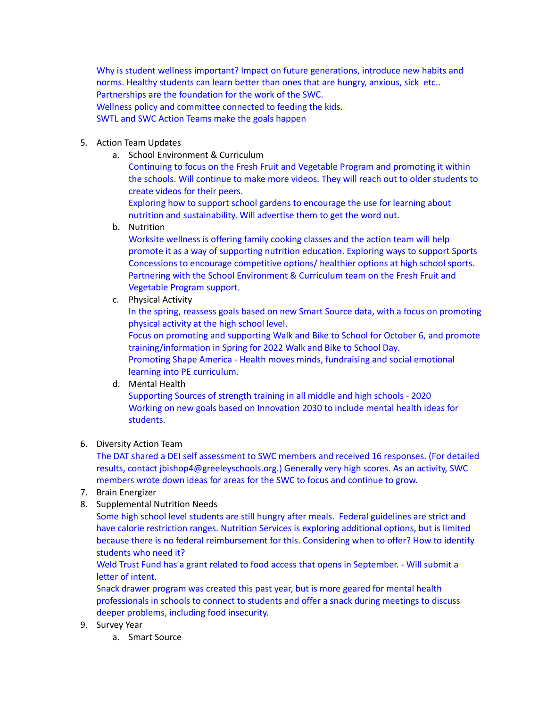Why is student wellness important? Impact on future generations, introduce new habits and norms. Healthy students can learn better than ones that are hungry, anxious, sick etc.. Partnerships are the foundation for the work of the SWC. Wellness policy and committee connected to feeding the kids. SWTL and SWC Action Teams make the goals happen

- 5. Action Team Updates
	- a. School Environment & Curriculum

Continuing to focus on the Fresh Fruit and Vegetable Program and promoting it within the schools. Will continue to make more videos. They will reach out to older students to create videos for their peers.

Exploring how to support school gardens to encourage the use for learning about nutrition and sustainability. Will advertise them to get the word out.

b. Nutrition

Worksite wellness is offering family cooking classes and the action team will help promote it as a way of supporting nutrition education. Exploring ways to support Sports Concessions to encourage competitive options/ healthier options at high school sports. Partnering with the School Environment & Curriculum team on the Fresh Fruit and Vegetable Program support.

c. Physical Activity

In the spring, reassess goals based on new Smart Source data, with a focus on promoting physical activity at the high school level.

Focus on promoting and supporting Walk and Bike to School for October 6, and promote training/information in Spring for 2022 Walk and Bike to School Day. Promoting Shape America - Health moves minds, fundraising and social emotional learning into PE curriculum.

d. Mental Health

Supporting Sources of strength training in all middle and high schools - 2020 Working on new goals based on Innovation 2030 to include mental health ideas for students.

6. Diversity Action Team

The DAT shared a DEI self assessment to SWC members and received 16 responses. (For detailed results, contact jbishop4@greeleyschools.org.) Generally very high scores. As an activity, SWC members wrote down ideas for areas for the SWC to focus and continue to grow.

- 7. Brain Energizer
- 8. Supplemental Nutrition Needs

Some high school level students are still hungry after meals. Federal guidelines are strict and have calorie restriction ranges. Nutrition Services is exploring additional options, but is limited because there is no federal reimbursement for this. Considering when to offer? How to identify students who need it?

Weld Trust Fund has a grant related to food access that opens in September. - Will submit a letter of intent.

Snack drawer program was created this past year, but is more geared for mental health professionals in schools to connect to students and offer a snack during meetings to discuss deeper problems, including food insecurity.

- 9. Survey Year
	- a. Smart Source